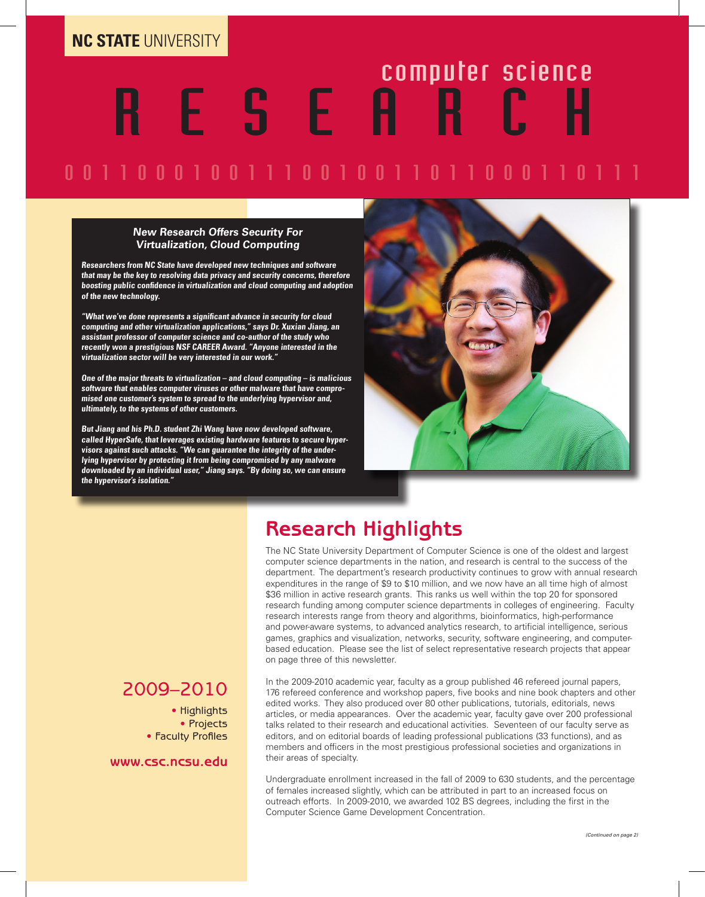# R E S E A R C H computer science

### 0 0 1 1 0 0 0 1 0 0 1 1 1 0 0 1 0 0 1 1 0 1 1 0 0 0 1 1 0 1 1 1

#### **New Research Offers Security For Virtualization, Cloud Computing**

**Researchers from NC State have developed new techniques and software that may be the key to resolving data privacy and security concerns, therefore boosting public confidence in virtualization and cloud computing and adoption of the new technology.**

**"What we've done represents a significant advance in security for cloud computing and other virtualization applications," says Dr. Xuxian Jiang, an assistant professor of computer science and co-author of the study who recently won a prestigious NSF CAREER Award. "Anyone interested in the virtualization sector will be very interested in our work."**

**One of the major threats to virtualization – and cloud computing – is malicious software that enables computer viruses or other malware that have compromised one customer's system to spread to the underlying hypervisor and, ultimately, to the systems of other customers.** 

**But Jiang and his Ph.D. student Zhi Wang have now developed software, called HyperSafe, that leverages existing hardware features to secure hypervisors against such attacks. "We can guarantee the integrity of the underlying hypervisor by protecting it from being compromised by any malware downloaded by an individual user," Jiang says. "By doing so, we can ensure the hypervisor's isolation."**



### **Research Highlights**

The NC State University Department of Computer Science is one of the oldest and largest computer science departments in the nation, and research is central to the success of the department. The department's research productivity continues to grow with annual research expenditures in the range of \$9 to \$10 million, and we now have an all time high of almost \$36 million in active research grants. This ranks us well within the top 20 for sponsored research funding among computer science departments in colleges of engineering. Faculty research interests range from theory and algorithms, bioinformatics, high-performance and power-aware systems, to advanced analytics research, to artificial intelligence, serious games, graphics and visualization, networks, security, software engineering, and computerbased education. Please see the list of select representative research projects that appear on page three of this newsletter.

### 2009–2010

• Highlights • Projects • Faculty Profiles

**www.csc.ncsu.edu**

In the 2009-2010 academic year, faculty as a group published 46 refereed journal papers, 176 refereed conference and workshop papers, five books and nine book chapters and other edited works. They also produced over 80 other publications, tutorials, editorials, news articles, or media appearances. Over the academic year, faculty gave over 200 professional talks related to their research and educational activities. Seventeen of our faculty serve as editors, and on editorial boards of leading professional publications (33 functions), and as members and officers in the most prestigious professional societies and organizations in their areas of specialty.

Undergraduate enrollment increased in the fall of 2009 to 630 students, and the percentage of females increased slightly, which can be attributed in part to an increased focus on outreach efforts. In 2009-2010, we awarded 102 BS degrees, including the first in the Computer Science Game Development Concentration.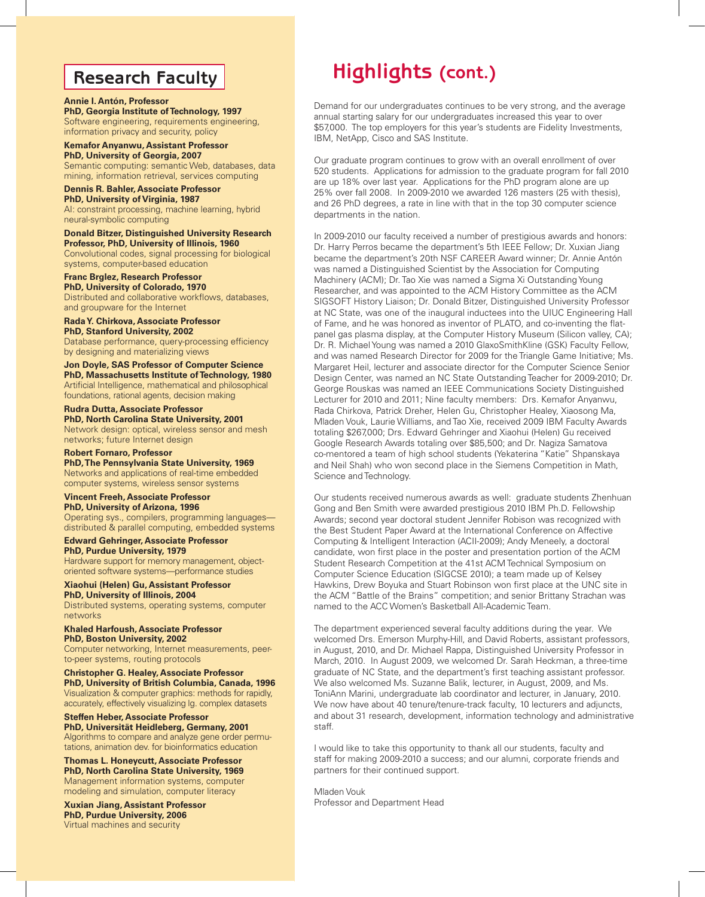### **Research Faculty**

#### **Annie I. Antón, Professor**

**PhD, Georgia Institute of Technology, 1997** Software engineering, requirements engineering, information privacy and security, policy

**Kemafor Anyanwu, Assistant Professor PhD, University of Georgia, 2007** Semantic computing: semantic Web, databases, data mining, information retrieval, services computing

#### **Dennis R. Bahler, Associate Professor**

**PhD, University of Virginia, 1987** AI: constraint processing, machine learning, hybrid neural-symbolic computing

#### **Donald Bitzer, Distinguished University Research Professor, PhD, University of Illinois, 1960**

Convolutional codes, signal processing for biological systems, computer-based education

### **Franc Brglez, Research Professor**

**PhD, University of Colorado, 1970** Distributed and collaborative workflows, databases, and groupware for the Internet

**Rada Y. Chirkova, Associate Professor**

**PhD, Stanford University, 2002** Database performance, query-processing efficiency by designing and materializing views

**Jon Doyle, SAS Professor of Computer Science PhD, Massachusetts Institute of Technology, 1980** Artificial Intelligence, mathematical and philosophical foundations, rational agents, decision making

**Rudra Dutta, Associate Professor PhD, North Carolina State University, 2001** Network design: optical, wireless sensor and mesh networks; future Internet design

**Robert Fornaro, Professor PhD, The Pennsylvania State University, 1969** Networks and applications of real-time embedded computer systems, wireless sensor systems

#### **Vincent Freeh, Associate Professor PhD, University of Arizona, 1996**

Operating sys., compilers, programming languages distributed & parallel computing, embedded systems

**Edward Gehringer, Associate Professor PhD, Purdue University, 1979** Hardware support for memory management, object-

oriented software systems—performance studies

**Xiaohui (Helen) Gu, Assistant Professor PhD, University of Illinois, 2004** Distributed systems, operating systems, computer networks

#### **Khaled Harfoush, Associate Professor PhD, Boston University, 2002**

Computer networking, Internet measurements, peerto-peer systems, routing protocols

**Christopher G. Healey, Associate Professor PhD, University of British Columbia, Canada, 1996** Visualization & computer graphics: methods for rapidly, accurately, effectively visualizing lg. complex datasets

**Steffen Heber, Associate Professor PhD, Universität Heidleberg, Germany, 2001** Algorithms to compare and analyze gene order permutations, animation dev. for bioinformatics education

**Thomas L. Honeycutt, Associate Professor PhD, North Carolina State University, 1969** Management information systems, computer modeling and simulation, computer literacy

**Xuxian Jiang, Assistant Professor PhD, Purdue University, 2006** Virtual machines and security

## **Highlights (cont.)**

Demand for our undergraduates continues to be very strong, and the average annual starting salary for our undergraduates increased this year to over \$57,000. The top employers for this year's students are Fidelity Investments, IBM, NetApp, Cisco and SAS Institute.

Our graduate program continues to grow with an overall enrollment of over 520 students. Applications for admission to the graduate program for fall 2010 are up 18% over last year. Applications for the PhD program alone are up 25% over fall 2008. In 2009-2010 we awarded 126 masters (25 with thesis), and 26 PhD degrees, a rate in line with that in the top 30 computer science departments in the nation.

In 2009-2010 our faculty received a number of prestigious awards and honors: Dr. Harry Perros became the department's 5th IEEE Fellow; Dr. Xuxian Jiang became the department's 20th NSF CAREER Award winner; Dr. Annie Antón was named a Distinguished Scientist by the Association for Computing Machinery (ACM); Dr. Tao Xie was named a Sigma Xi Outstanding Young Researcher, and was appointed to the ACM History Committee as the ACM SIGSOFT History Liaison; Dr. Donald Bitzer, Distinguished University Professor at NC State, was one of the inaugural inductees into the UIUC Engineering Hall of Fame, and he was honored as inventor of PLATO, and co-inventing the flatpanel gas plasma display, at the Computer History Museum (Silicon valley, CA); Dr. R. Michael Young was named a 2010 GlaxoSmithKline (GSK) Faculty Fellow, and was named Research Director for 2009 for the Triangle Game Initiative; Ms. Margaret Heil, lecturer and associate director for the Computer Science Senior Design Center, was named an NC State Outstanding Teacher for 2009-2010; Dr. George Rouskas was named an IEEE Communications Society Distinguished Lecturer for 2010 and 2011; Nine faculty members: Drs. Kemafor Anyanwu, Rada Chirkova, Patrick Dreher, Helen Gu, Christopher Healey, Xiaosong Ma, Mladen Vouk, Laurie Williams, and Tao Xie, received 2009 IBM Faculty Awards totaling \$267,000; Drs. Edward Gehringer and Xiaohui (Helen) Gu received Google Research Awards totaling over \$85,500; and Dr. Nagiza Samatova co-mentored a team of high school students (Yekaterina "Katie" Shpanskaya and Neil Shah) who won second place in the Siemens Competition in Math, Science and Technology.

Our students received numerous awards as well: graduate students Zhenhuan Gong and Ben Smith were awarded prestigious 2010 IBM Ph.D. Fellowship Awards; second year doctoral student Jennifer Robison was recognized with the Best Student Paper Award at the International Conference on Affective Computing & Intelligent Interaction (ACII-2009); Andy Meneely, a doctoral candidate, won first place in the poster and presentation portion of the ACM Student Research Competition at the 41st ACM Technical Symposium on Computer Science Education (SIGCSE 2010); a team made up of Kelsey Hawkins, Drew Boyuka and Stuart Robinson won first place at the UNC site in the ACM "Battle of the Brains" competition; and senior Brittany Strachan was named to the ACC Women's Basketball All-Academic Team.

The department experienced several faculty additions during the year. We welcomed Drs. Emerson Murphy-Hill, and David Roberts, assistant professors, in August, 2010, and Dr. Michael Rappa, Distinguished University Professor in March, 2010. In August 2009, we welcomed Dr. Sarah Heckman, a three-time graduate of NC State, and the department's first teaching assistant professor. We also welcomed Ms. Suzanne Balik, lecturer, in August, 2009, and Ms. ToniAnn Marini, undergraduate lab coordinator and lecturer, in January, 2010. We now have about 40 tenure/tenure-track faculty, 10 lecturers and adjuncts, and about 31 research, development, information technology and administrative staff.

I would like to take this opportunity to thank all our students, faculty and staff for making 2009-2010 a success; and our alumni, corporate friends and partners for their continued support.

Mladen Vouk Professor and Department Head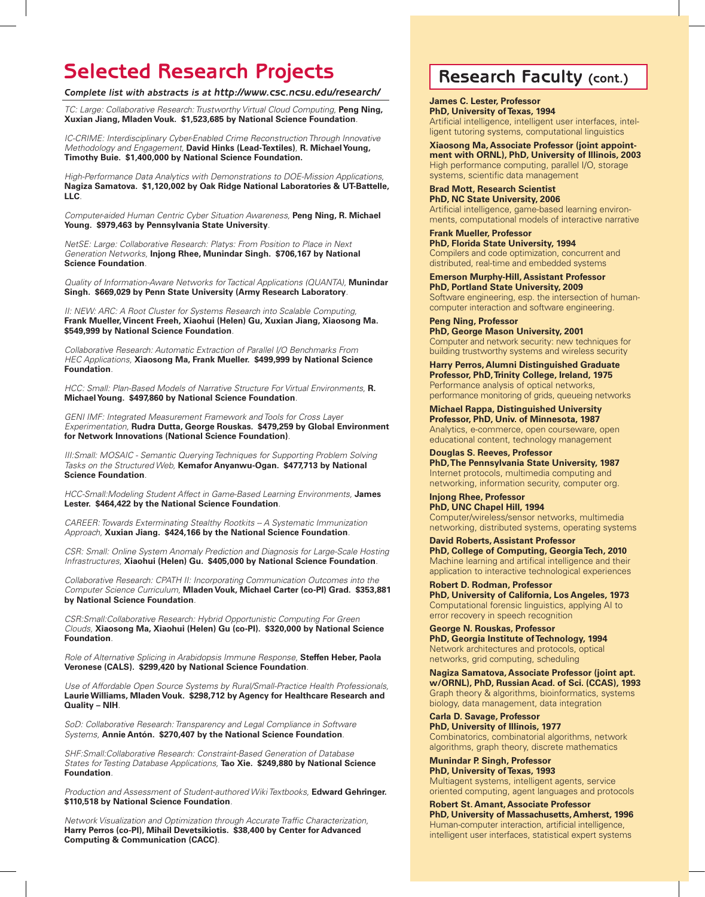### **Selected Research Projects Research Faculty (cont.)**

*Complete list with abstracts is at http://www.csc.ncsu.edu/research/*

*TC: Large: Collaborative Research: Trustworthy Virtual Cloud Computing,* **Peng Ning, Xuxian Jiang, Mladen Vouk. \$1,523,685 by National Science Foundation***.*

*IC-CRIME: Interdisciplinary Cyber-Enabled Crime Reconstruction Through Innovative Methodology and Engagement,* **David Hinks (Lead-Textiles)***,* **R. Michael Young, Timothy Buie. \$1,400,000 by National Science Foundation.**

*High-Performance Data Analytics with Demonstrations to DOE-Mission Applications,*  **Nagiza Samatova. \$1,120,002 by Oak Ridge National Laboratories & UT-Battelle, LLC***.*

*Computer-aided Human Centric Cyber Situation Awareness,* **Peng Ning, R. Michael Young. \$979,463 by Pennsylvania State University***.*

*NetSE: Large: Collaborative Research: Platys: From Position to Place in Next Generation Networks,* **Injong Rhee, Munindar Singh. \$706,167 by National Science Foundation***.*

*Quality of Information-Aware Networks for Tactical Applications (QUANTA),* **Munindar Singh. \$669,029 by Penn State University (Army Research Laboratory***.*

**II: NEW: ARC: A Root Cluster for Systems Research into Scalable Computing, Frank Mueller, Vincent Freeh, Xiaohui (Helen) Gu, Xuxian Jiang, Xiaosong Ma. \$549,999 by National Science Foundation***.*

*Collaborative Research: Automatic Extraction of Parallel I/O Benchmarks From HEC Applications,* **Xiaosong Ma, Frank Mueller. \$499,999 by National Science Foundation***.*

*HCC: Small: Plan-Based Models of Narrative Structure For Virtual Environments,* **R. Michael Young. \$497,860 by National Science Foundation***.*

*GENI IMF: Integrated Measurement Framework and Tools for Cross Layer Experimentation,* **Rudra Dutta, George Rouskas. \$479,259 by Global Environment for Network Innovations (National Science Foundation)***.*

**III: Small: MOSAIC - Semantic Querying Techniques for Supporting Problem Solving** *Tasks on the Structured Web,* **Kemafor Anyanwu-Ogan. \$477,713 by National Science Foundation***.*

*HCC-Small:Modeling Student Affect in Game-Based Learning Environments,* **James Lester. \$464,422 by the National Science Foundation***.*

*CAREER: Towards Exterminating Stealthy Rootkits -- A Systematic Immunization Approach,* **Xuxian Jiang. \$424,166 by the National Science Foundation***.*

CSR: Small: Online System Anomaly Prediction and Diagnosis for Large-Scale Hosting *Infrastructures,* **Xiaohui (Helen) Gu. \$405,000 by National Science Foundation***.*

*Collaborative Research: CPATH II: Incorporating Communication Outcomes into the Computer Science Curriculum,* **Mladen Vouk, Michael Carter (co-PI) Grad. \$353,881 by National Science Foundation***.*

*CSR:Small:Collaborative Research: Hybrid Opportunistic Computing For Green Clouds,* **Xiaosong Ma, Xiaohui (Helen) Gu (co-PI). \$320,000 by National Science Foundation***.*

*Role of Alternative Splicing in Arabidopsis Immune Response,* **Steffen Heber, Paola Veronese (CALS). \$299,420 by National Science Foundation***.*

*Use of Affordable Open Source Systems by Rural/Small-Practice Health Professionals,*  **Laurie Williams, Mladen Vouk. \$298,712 by Agency for Healthcare Research and Quality – NIH***.*

*SoD: Collaborative Research: Transparency and Legal Compliance in Software Systems,* **Annie Antón. \$270,407 by the National Science Foundation***.*

*SHF:Small:Collaborative Research: Constraint-Based Generation of Database States for Testing Database Applications,* **Tao Xie. \$249,880 by National Science Foundation***.*

*Production and Assessment of Student-authored Wiki Textbooks,* **Edward Gehringer. \$110,518 by National Science Foundation***.*

*Network Visualization and Optimization through Accurate Traffic Characterization,*  **Harry Perros (co-PI), Mihail Devetsikiotis. \$38,400 by Center for Advanced Computing & Communication (CACC)***.*

**James C. Lester, Professor PhD, University of Texas, 1994** Artificial intelligence, intelligent user interfaces, intelligent tutoring systems, computational linguistics

**Xiaosong Ma, Associate Professor (joint appointment with ORNL), PhD, University of Illinois, 2003** High performance computing, parallel I/O, storage systems, scientific data management

**Brad Mott, Research Scientist PhD, NC State University, 2006** Artificial intelligence, game-based learning environments, computational models of interactive narrative

**Frank Mueller, Professor PhD, Florida State University, 1994** Compilers and code optimization, concurrent and distributed, real-time and embedded systems

**Emerson Murphy-Hill, Assistant Professor PhD, Portland State University, 2009** Software engineering, esp. the intersection of humancomputer interaction and software engineering.

**Peng Ning, Professor PhD, George Mason University, 2001** Computer and network security: new techniques for building trustworthy systems and wireless security

**Harry Perros, Alumni Distinguished Graduate Professor, PhD, Trinity College, Ireland, 1975** Performance analysis of optical networks, performance monitoring of grids, queueing networks

**Michael Rappa, Distinguished University Professor, PhD, Univ. of Minnesota, 1987** Analytics, e-commerce, open courseware, open educational content, technology management

**Douglas S. Reeves, Professor PhD, The Pennsylvania State University, 1987** Internet protocols, multimedia computing and networking, information security, computer org.

**Injong Rhee, Professor PhD, UNC Chapel Hill, 1994** Computer/wireless/sensor networks, multimedia networking, distributed systems, operating systems

**David Roberts, Assistant Professor PhD, College of Computing, Georgia Tech, 2010** Machine learning and artifical intelligence and their application to interactive technological experiences

**Robert D. Rodman, Professor PhD, University of California, Los Angeles, 1973** Computational forensic linguistics, applying AI to error recovery in speech recognition

**George N. Rouskas, Professor PhD, Georgia Institute of Technology, 1994** Network architectures and protocols, optical networks, grid computing, scheduling

**Nagiza Samatova, Associate Professor (joint apt. w/ORNL), PhD, Russian Acad. of Sci. (CCAS), 1993** Graph theory & algorithms, bioinformatics, systems biology, data management, data integration

**Carla D. Savage, Professor PhD, University of Illinois, 1977** Combinatorics, combinatorial algorithms, network algorithms, graph theory, discrete mathematics

**Munindar P. Singh, Professor PhD, University of Texas, 1993** Multiagent systems, intelligent agents, service oriented computing, agent languages and protocols

**Robert St. Amant, Associate Professor PhD, University of Massachusetts, Amherst, 1996** Human-computer interaction, artificial intelligence, intelligent user interfaces, statistical expert systems